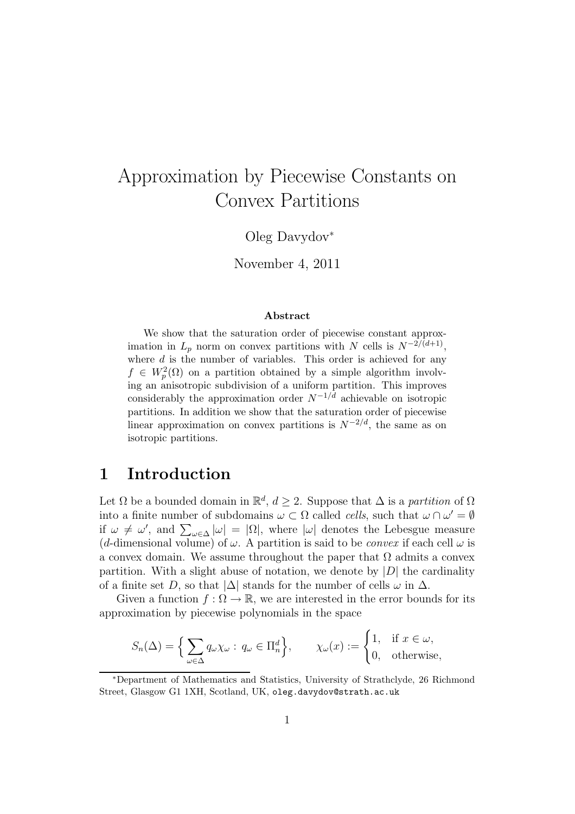# Approximation by Piecewise Constants on Convex Partitions

Oleg Davydov<sup>∗</sup>

November 4, 2011

#### Abstract

We show that the saturation order of piecewise constant approximation in  $L_p$  norm on convex partitions with N cells is  $N^{-2/(d+1)}$ , where  $d$  is the number of variables. This order is achieved for any  $f \in W_p^2(\Omega)$  on a partition obtained by a simple algorithm involving an anisotropic subdivision of a uniform partition. This improves considerably the approximation order  $N^{-1/d}$  achievable on isotropic partitions. In addition we show that the saturation order of piecewise linear approximation on convex partitions is  $N^{-2/d}$ , the same as on isotropic partitions.

# 1 Introduction

Let  $\Omega$  be a bounded domain in  $\mathbb{R}^d$ ,  $d \geq 2$ . Suppose that  $\Delta$  is a partition of  $\Omega$ into a finite number of subdomains  $\omega \subset \Omega$  called *cells*, such that  $\omega \cap \omega' = \emptyset$ if  $\omega \neq \omega'$ , and  $\sum_{\omega \in \Delta} |\omega| = |\Omega|$ , where  $|\omega|$  denotes the Lebesgue measure (d-dimensional volume) of  $\omega$ . A partition is said to be *convex* if each cell  $\omega$  is a convex domain. We assume throughout the paper that  $\Omega$  admits a convex partition. With a slight abuse of notation, we denote by  $|D|$  the cardinality of a finite set D, so that  $|\Delta|$  stands for the number of cells  $\omega$  in  $\Delta$ .

Given a function  $f : \Omega \to \mathbb{R}$ , we are interested in the error bounds for its approximation by piecewise polynomials in the space

$$
S_n(\Delta) = \left\{ \sum_{\omega \in \Delta} q_{\omega} \chi_{\omega} : q_{\omega} \in \Pi_n^d \right\}, \qquad \chi_{\omega}(x) := \begin{cases} 1, & \text{if } x \in \omega, \\ 0, & \text{otherwise,} \end{cases}
$$

<sup>∗</sup>Department of Mathematics and Statistics, University of Strathclyde, 26 Richmond Street, Glasgow G1 1XH, Scotland, UK, oleg.davydov@strath.ac.uk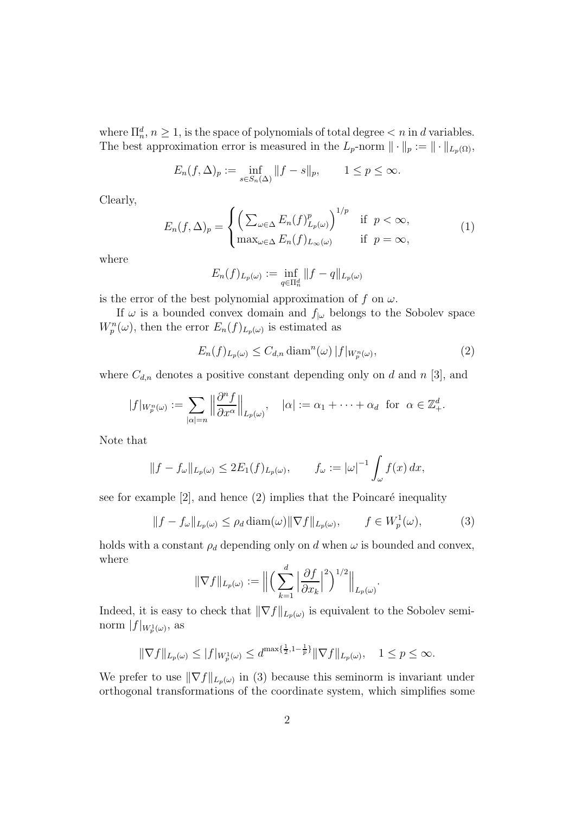where  $\prod_n^d$ ,  $n \geq 1$ , is the space of polynomials of total degree  $\lt n$  in d variables. The best approximation error is measured in the  $L_p$ -norm  $\|\cdot\|_p := \|\cdot\|_{L_p(\Omega)}$ ,

$$
E_n(f,\Delta)_p := \inf_{s \in S_n(\Delta)} ||f - s||_p, \qquad 1 \le p \le \infty.
$$

Clearly,

$$
E_n(f,\Delta)_p = \begin{cases} \left(\sum_{\omega \in \Delta} E_n(f)_{L_p(\omega)}^p\right)^{1/p} & \text{if } p < \infty, \\ \max_{\omega \in \Delta} E_n(f)_{L_\infty(\omega)} & \text{if } p = \infty, \end{cases}
$$
(1)

where

$$
E_n(f)_{L_p(\omega)} := \inf_{q \in \Pi_n^d} ||f - q||_{L_p(\omega)}
$$

is the error of the best polynomial approximation of f on  $\omega$ .

If  $\omega$  is a bounded convex domain and  $f_{\vert \omega}$  belongs to the Sobolev space  $W_p^n(\omega)$ , then the error  $E_n(f)_{L_p(\omega)}$  is estimated as

$$
E_n(f)_{L_p(\omega)} \le C_{d,n} \operatorname{diam}^n(\omega) |f|_{W_p^n(\omega)},\tag{2}
$$

where  $C_{d,n}$  denotes a positive constant depending only on d and n [3], and

$$
|f|_{W_p^n(\omega)} := \sum_{|\alpha|=n} \left\| \frac{\partial^n f}{\partial x^{\alpha}} \right\|_{L_p(\omega)}, \quad |\alpha| := \alpha_1 + \dots + \alpha_d \text{ for } \alpha \in \mathbb{Z}_+^d.
$$

Note that

$$
||f - f_{\omega}||_{L_p(\omega)} \le 2E_1(f)_{L_p(\omega)}, \qquad f_{\omega} := |\omega|^{-1} \int_{\omega} f(x) dx,
$$

see for example  $[2]$ , and hence  $(2)$  implies that the Poincaré inequality

$$
||f - f_{\omega}||_{L_p(\omega)} \le \rho_d \operatorname{diam}(\omega) ||\nabla f||_{L_p(\omega)}, \qquad f \in W_p^1(\omega), \tag{3}
$$

holds with a constant  $\rho_d$  depending only on d when  $\omega$  is bounded and convex, where

$$
\|\nabla f\|_{L_p(\omega)} := \Big\|\Big(\sum_{k=1}^d \Big|\frac{\partial f}{\partial x_k}\Big|^2\Big)^{1/2}\Big\|_{L_p(\omega)}.
$$

Indeed, it is easy to check that  $\|\nabla f\|_{L_p(\omega)}$  is equivalent to the Sobolev seminorm  $|f|_{W_p^1(\omega)}$ , as

$$
\|\nabla f\|_{L_p(\omega)} \le |f|_{W_p^1(\omega)} \le d^{\max\{\frac{1}{2}, 1-\frac{1}{p}\}} \|\nabla f\|_{L_p(\omega)}, \quad 1 \le p \le \infty.
$$

We prefer to use  $\|\nabla f\|_{L_p(\omega)}$  in (3) because this seminorm is invariant under orthogonal transformations of the coordinate system, which simplifies some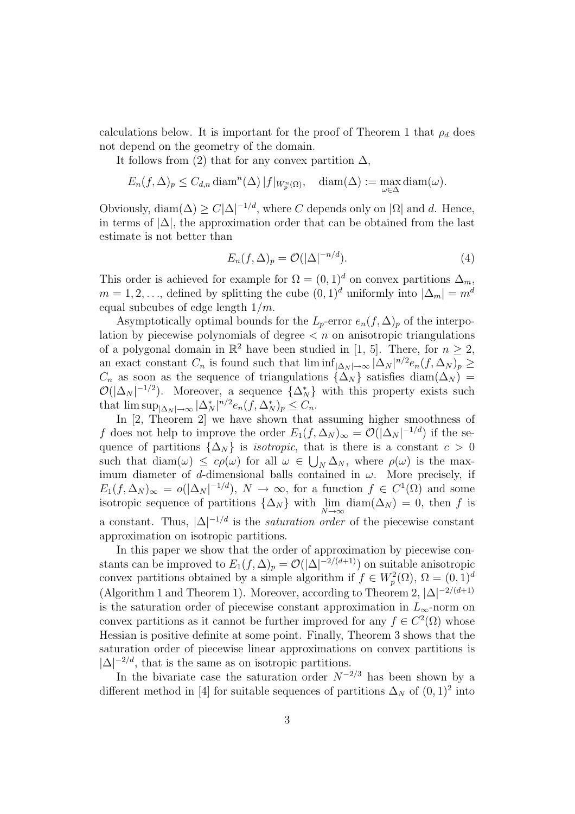calculations below. It is important for the proof of Theorem 1 that  $\rho_d$  does not depend on the geometry of the domain.

It follows from (2) that for any convex partition  $\Delta$ ,

$$
E_n(f, \Delta)_p \le C_{d,n} \operatorname{diam}^n(\Delta) |f|_{W_p^n(\Omega)}, \quad \operatorname{diam}(\Delta) := \max_{\omega \in \Delta} \operatorname{diam}(\omega).
$$

Obviously,  $\text{diam}(\Delta) \ge C|\Delta|^{-1/d}$ , where C depends only on  $|\Omega|$  and d. Hence, in terms of  $|\Delta|$ , the approximation order that can be obtained from the last estimate is not better than

$$
E_n(f, \Delta)_p = \mathcal{O}(|\Delta|^{-n/d}).\tag{4}
$$

This order is achieved for example for  $\Omega = (0, 1)^d$  on convex partitions  $\Delta_m$ ,  $m = 1, 2, \ldots$ , defined by splitting the cube  $(0, 1)^d$  uniformly into  $|\Delta_m| = m^d$ equal subcubes of edge length  $1/m$ .

Asymptotically optimal bounds for the  $L_p$ -error  $e_n(f, \Delta)_p$  of the interpolation by piecewise polynomials of degree  $\lt n$  on anisotropic triangulations of a polygonal domain in  $\mathbb{R}^2$  have been studied in [1, 5]. There, for  $n \geq 2$ , an exact constant  $C_n$  is found such that  $\liminf_{|\Delta_N| \to \infty} |\Delta_N|^{n/2} e_n(f, \Delta_N)_p \ge$  $C_n$  as soon as the sequence of triangulations  $\{\Delta_N\}$  satisfies diam $(\Delta_N)$  =  $\mathcal{O}(|\Delta_N|^{-1/2})$ . Moreover, a sequence  $\{\Delta_N^*\}$  with this property exists such that  $\limsup_{|\Delta_N| \to \infty} |\Delta_N^*|^{n/2} e_n(f, \Delta_N^*)_p \leq C_n$ .

In [2, Theorem 2] we have shown that assuming higher smoothness of f does not help to improve the order  $E_1(f, \Delta_N)_{\infty} = \mathcal{O}(|\Delta_N|^{-1/d})$  if the sequence of partitions  $\{\Delta_N\}$  is *isotropic*, that is there is a constant  $c > 0$ such that  $\text{diam}(\omega) \leq c\rho(\omega)$  for all  $\omega \in \bigcup_N \Delta_N$ , where  $\rho(\omega)$  is the maximum diameter of d-dimensional balls contained in  $\omega$ . More precisely, if  $E_1(f, \Delta_N)_{\infty} = o(|\Delta_N|^{-1/d}), N \to \infty$ , for a function  $f \in C^1(\Omega)$  and some isotropic sequence of partitions  $\{\Delta_N\}$  with  $\lim_{N\to\infty}$  diam $(\Delta_N) = 0$ , then f is a constant. Thus,  $|\Delta|^{-1/d}$  is the *saturation order* of the piecewise constant approximation on isotropic partitions.

In this paper we show that the order of approximation by piecewise constants can be improved to  $E_1(f, \Delta)_p = \mathcal{O}(|\Delta|^{-2/(d+1)})$  on suitable anisotropic convex partitions obtained by a simple algorithm if  $f \in W_p^2(\Omega)$ ,  $\Omega = (0, 1)^d$ (Algorithm 1 and Theorem 1). Moreover, according to Theorem 2,  $|\Delta|^{-2/(d+1)}$ is the saturation order of piecewise constant approximation in  $L_{\infty}$ -norm on convex partitions as it cannot be further improved for any  $f \in C^2(\Omega)$  whose Hessian is positive definite at some point. Finally, Theorem 3 shows that the saturation order of piecewise linear approximations on convex partitions is  $|\Delta|^{-2/d}$ , that is the same as on isotropic partitions.

In the bivariate case the saturation order  $N^{-2/3}$  has been shown by a different method in [4] for suitable sequences of partitions  $\Delta_N$  of  $(0,1)^2$  into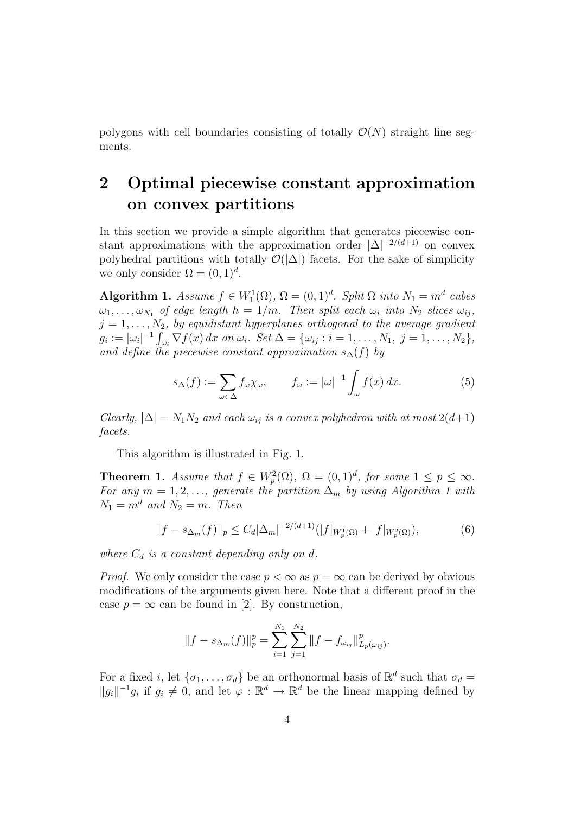polygons with cell boundaries consisting of totally  $\mathcal{O}(N)$  straight line segments.

# 2 Optimal piecewise constant approximation on convex partitions

In this section we provide a simple algorithm that generates piecewise constant approximations with the approximation order  $|\Delta|^{-2/(d+1)}$  on convex polyhedral partitions with totally  $\mathcal{O}(|\Delta|)$  facets. For the sake of simplicity we only consider  $\Omega = (0, 1)^d$ .

Algorithm 1. Assume  $f \in W_1^1(\Omega)$ ,  $\Omega = (0, 1)^d$ . Split  $\Omega$  into  $N_1 = m^d$  cubes  $\omega_1, \ldots, \omega_{N_1}$  of edge length  $h = 1/m$ . Then split each  $\omega_i$  into  $N_2$  slices  $\omega_{ij}$ ,  $j = 1, \ldots, N_2$ , by equidistant hyperplanes orthogonal to the average gradient  $g_i := |\omega_i|^{-1} \int_{\omega_i} \nabla f(x) dx$  on  $\omega_i$ . Set  $\Delta = {\{\omega_{ij} : i = 1, ..., N_1, j = 1, ..., N_2\}},$ and define the piecewise constant approximation  $s_{\Delta}(f)$  by

$$
s_{\Delta}(f) := \sum_{\omega \in \Delta} f_{\omega} \chi_{\omega}, \qquad f_{\omega} := |\omega|^{-1} \int_{\omega} f(x) \, dx. \tag{5}
$$

*Clearly*,  $|\Delta| = N_1 N_2$  and each  $\omega_{ij}$  is a convex polyhedron with at most  $2(d+1)$ facets.

This algorithm is illustrated in Fig. 1.

**Theorem 1.** Assume that  $f \in W_p^2(\Omega)$ ,  $\Omega = (0,1)^d$ , for some  $1 \le p \le \infty$ . For any  $m = 1, 2, \ldots$ , generate the partition  $\Delta_m$  by using Algorithm 1 with  $N_1 = m^d$  and  $N_2 = m$ . Then

$$
||f - s_{\Delta_m}(f)||_p \le C_d |\Delta_m|^{-2/(d+1)} (|f|_{W_p^1(\Omega)} + |f|_{W_p^2(\Omega)}),
$$
\n(6)

where  $C_d$  is a constant depending only on d.

*Proof.* We only consider the case  $p < \infty$  as  $p = \infty$  can be derived by obvious modifications of the arguments given here. Note that a different proof in the case  $p = \infty$  can be found in [2]. By construction,

$$
||f - s_{\Delta_m}(f)||_p^p = \sum_{i=1}^{N_1} \sum_{j=1}^{N_2} ||f - f_{\omega_{ij}}||_{L_p(\omega_{ij})}^p.
$$

For a fixed *i*, let  $\{\sigma_1, \ldots, \sigma_d\}$  be an orthonormal basis of  $\mathbb{R}^d$  such that  $\sigma_d =$  $||g_i||^{-1}g_i$  if  $g_i \neq 0$ , and let  $\varphi : \mathbb{R}^d \to \mathbb{R}^d$  be the linear mapping defined by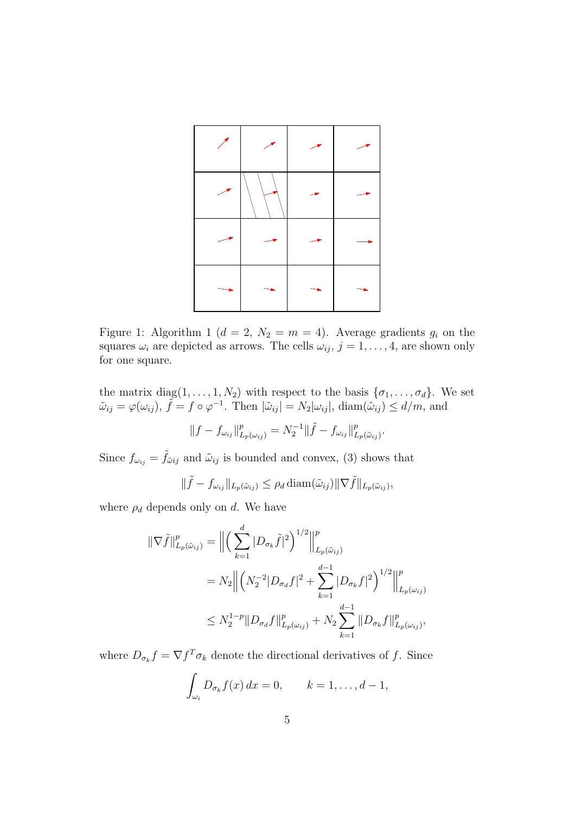

Figure 1: Algorithm 1 ( $d = 2$ ,  $N_2 = m = 4$ ). Average gradients  $g_i$  on the squares  $\omega_i$  are depicted as arrows. The cells  $\omega_{ij}$ ,  $j = 1, \ldots, 4$ , are shown only for one square.

the matrix  $diag(1, \ldots, 1, N_2)$  with respect to the basis  $\{\sigma_1, \ldots, \sigma_d\}$ . We set  $\tilde{\omega}_{ij} = \varphi(\omega_{ij}), \tilde{f} = f \circ \varphi^{-1}$ . Then  $|\tilde{\omega}_{ij}| = N_2 |\omega_{ij}|$ ,  $\text{diam}(\tilde{\omega}_{ij}) \leq d/m$ , and

$$
||f - f_{\omega_{ij}}||_{L_p(\omega_{ij})}^p = N_2^{-1}||\tilde{f} - f_{\omega_{ij}}||_{L_p(\tilde{\omega}_{ij})}^p.
$$

Since  $f_{\omega_{ij}} = \tilde{f}_{\tilde{\omega}ij}$  and  $\tilde{\omega}_{ij}$  is bounded and convex, (3) shows that

$$
\|\tilde{f} - f_{\omega_{ij}}\|_{L_p(\tilde{\omega}_{ij})} \leq \rho_d \operatorname{diam}(\tilde{\omega}_{ij}) \|\nabla \tilde{f}\|_{L_p(\tilde{\omega}_{ij})},
$$

where  $\rho_d$  depends only on d. We have

$$
\|\nabla \tilde{f}\|_{L_p(\tilde{\omega}_{ij})}^p = \left\| \left( \sum_{k=1}^d |D_{\sigma_k} \tilde{f}|^2 \right)^{1/2} \right\|_{L_p(\tilde{\omega}_{ij})}^p
$$
  

$$
= N_2 \left\| \left( N_2^{-2} |D_{\sigma_d} f|^2 + \sum_{k=1}^{d-1} |D_{\sigma_k} f|^2 \right)^{1/2} \right\|_{L_p(\omega_{ij})}^p
$$
  

$$
\leq N_2^{1-p} \|D_{\sigma_d} f\|_{L_p(\omega_{ij})}^p + N_2 \sum_{k=1}^{d-1} \|D_{\sigma_k} f\|_{L_p(\omega_{ij})}^p,
$$

where  $D_{\sigma_k} f = \nabla f^T \sigma_k$  denote the directional derivatives of f. Since

$$
\int_{\omega_i} D_{\sigma_k} f(x) dx = 0, \qquad k = 1, \dots, d-1,
$$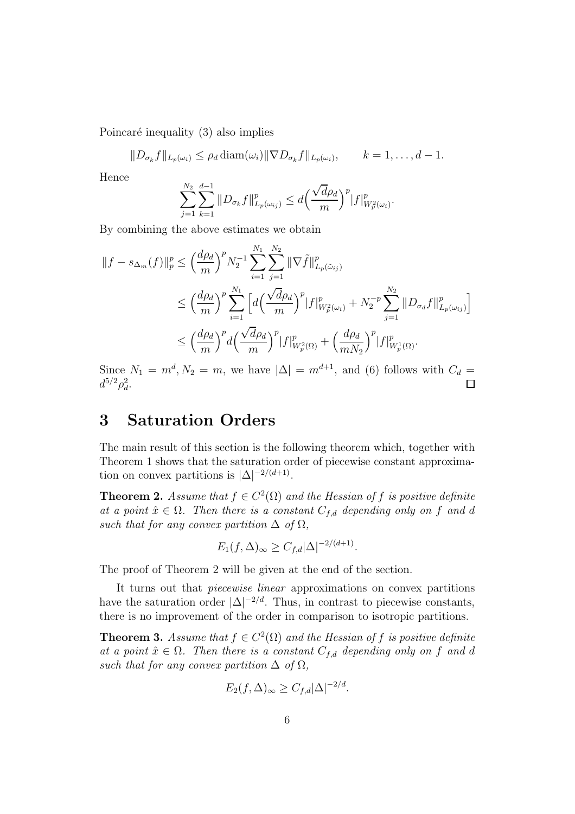Poincaré inequality  $(3)$  also implies

$$
||D_{\sigma_k}f||_{L_p(\omega_i)} \leq \rho_d \operatorname{diam}(\omega_i) ||\nabla D_{\sigma_k}f||_{L_p(\omega_i)}, \qquad k=1,\ldots,d-1.
$$

Hence

$$
\sum_{j=1}^{N_2} \sum_{k=1}^{d-1} \|D_{\sigma_k} f\|_{L_p(\omega_{ij})}^p \le d \Big(\frac{\sqrt{d} \rho_d}{m}\Big)^p |f|_{W_p^2(\omega_i)}^p.
$$

By combining the above estimates we obtain

$$
||f - s_{\Delta_m}(f)||_p^p \le \left(\frac{d\rho_d}{m}\right)^p N_2^{-1} \sum_{i=1}^{N_1} \sum_{j=1}^{N_2} ||\nabla \tilde{f}||_{L_p(\tilde{\omega}_{ij})}^p
$$
  

$$
\le \left(\frac{d\rho_d}{m}\right)^p \sum_{i=1}^{N_1} \left[ d\left(\frac{\sqrt{d}\rho_d}{m}\right)^p |f|_{W_p^2(\omega_i)}^p + N_2^{-p} \sum_{j=1}^{N_2} ||D_{\sigma_d}f||_{L_p(\omega_{ij})}^p \right]
$$
  

$$
\le \left(\frac{d\rho_d}{m}\right)^p d\left(\frac{\sqrt{d}\rho_d}{m}\right)^p |f|_{W_p^2(\Omega)}^p + \left(\frac{d\rho_d}{mN_2}\right)^p |f|_{W_p^1(\Omega)}^p.
$$

Since  $N_1 = m^d$ ,  $N_2 = m$ , we have  $|\Delta| = m^{d+1}$ , and (6) follows with  $C_d =$  $d^{5/2}\rho_d^2$ .

## 3 Saturation Orders

The main result of this section is the following theorem which, together with Theorem 1 shows that the saturation order of piecewise constant approximation on convex partitions is  $|\Delta|^{-2/(d+1)}$ .

**Theorem 2.** Assume that  $f \in C^2(\Omega)$  and the Hessian of f is positive definite at a point  $\hat{x} \in \Omega$ . Then there is a constant  $C_{f,d}$  depending only on f and d such that for any convex partition  $\Delta$  of  $\Omega$ ,

$$
E_1(f,\Delta)_{\infty} \ge C_{f,d}|\Delta|^{-2/(d+1)}.
$$

The proof of Theorem 2 will be given at the end of the section.

It turns out that piecewise linear approximations on convex partitions have the saturation order  $|\Delta|^{-2/d}$ . Thus, in contrast to piecewise constants, there is no improvement of the order in comparison to isotropic partitions.

**Theorem 3.** Assume that  $f \in C^2(\Omega)$  and the Hessian of f is positive definite at a point  $\hat{x} \in \Omega$ . Then there is a constant  $C_{f,d}$  depending only on f and d such that for any convex partition  $\Delta$  of  $\Omega$ ,

$$
E_2(f,\Delta)_{\infty} \ge C_{f,d}|\Delta|^{-2/d}.
$$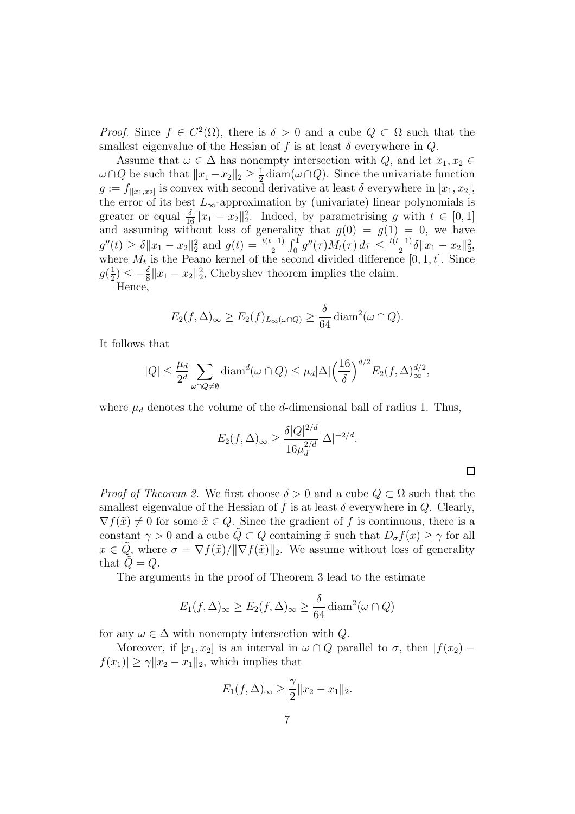*Proof.* Since  $f \in C^2(\Omega)$ , there is  $\delta > 0$  and a cube  $Q \subset \Omega$  such that the smallest eigenvalue of the Hessian of f is at least  $\delta$  everywhere in Q.

Assume that  $\omega \in \Delta$  has nonempty intersection with Q, and let  $x_1, x_2 \in$  $\omega \cap Q$  be such that  $||x_1 - x_2||_2 \geq \frac{1}{2}$  $\frac{1}{2}$  diam( $\omega \cap Q$ ). Since the univariate function  $g := f_{\left[ \left[ x_1, x_2 \right]} \right]$  is convex with second derivative at least  $\delta$  everywhere in  $\left[ x_1, x_2 \right]$ , the error of its best  $L_{\infty}$ -approximation by (univariate) linear polynomials is greater or equal  $\frac{\delta}{16}||x_1 - x_2||_2^2$ . Indeed, by parametrising g with  $t \in [0, 1]$ and assuming without loss of generality that  $g(0) = g(1) = 0$ , we have  $g''(t) \ge \delta \|x_1 - x_2\|_2^2$  and  $g(t) = \frac{t(t-1)}{2} \int_0^1 g''(\tau) M_t(\tau) d\tau \le \frac{t(t-1)}{2}$  $\frac{-1)}{2}\delta||x_1-x_2||_2^2,$ where  $M_t$  is the Peano kernel of the second divided difference  $[0, 1, t]$ . Since  $g(\frac{1}{2})$  $\frac{1}{2}$   $\leq -\frac{\delta}{8}||x_1 - x_2||_2^2$ , Chebyshev theorem implies the claim.

Hence,

$$
E_2(f,\Delta)_{\infty} \ge E_2(f)_{L_{\infty}(\omega \cap Q)} \ge \frac{\delta}{64} \operatorname{diam}^2(\omega \cap Q).
$$

It follows that

$$
|Q| \leq \frac{\mu_d}{2^d} \sum_{\omega \cap Q \neq \emptyset} \text{diam}^d(\omega \cap Q) \leq \mu_d |\Delta| \left(\frac{16}{\delta}\right)^{d/2} E_2(f, \Delta)^{d/2}_{\infty},
$$

where  $\mu_d$  denotes the volume of the *d*-dimensional ball of radius 1. Thus,

$$
E_2(f,\Delta)_{\infty} \ge \frac{\delta |Q|^{2/d}}{16\mu_d^{2/d}} |\Delta|^{-2/d}.
$$

 $\Box$ 

*Proof of Theorem 2.* We first choose  $\delta > 0$  and a cube  $Q \subset \Omega$  such that the smallest eigenvalue of the Hessian of f is at least  $\delta$  everywhere in  $Q$ . Clearly,  $\nabla f(\tilde{x}) \neq 0$  for some  $\tilde{x} \in Q$ . Since the gradient of f is continuous, there is a constant  $\gamma > 0$  and a cube  $\tilde{Q} \subset Q$  containing  $\tilde{x}$  such that  $D_{\sigma} f(x) \geq \gamma$  for all  $x \in \tilde{Q}$ , where  $\sigma = \nabla f(\tilde{x})/||\nabla f(\tilde{x})||_2$ . We assume without loss of generality that  $Q = Q$ .

The arguments in the proof of Theorem 3 lead to the estimate

$$
E_1(f,\Delta)_{\infty} \ge E_2(f,\Delta)_{\infty} \ge \frac{\delta}{64} \operatorname{diam}^2(\omega \cap Q)
$$

for any  $\omega \in \Delta$  with nonempty intersection with Q.

Moreover, if  $[x_1, x_2]$  is an interval in  $\omega \cap Q$  parallel to  $\sigma$ , then  $|f(x_2) |f(x_1)| \geq \gamma ||x_2 - x_1||_2$ , which implies that

$$
E_1(f,\Delta)_{\infty} \ge \frac{\gamma}{2} \|x_2 - x_1\|_2.
$$